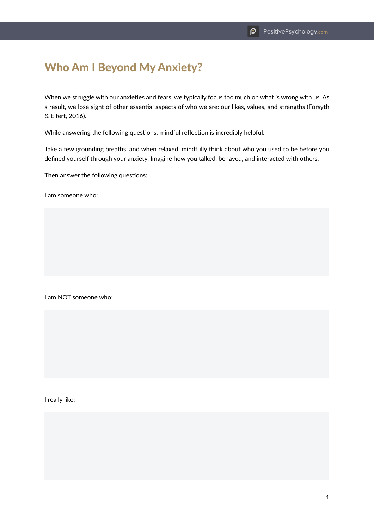## Who Am I Beyond My Anxiety?

When we struggle with our anxieties and fears, we typically focus too much on what is wrong with us. As a result, we lose sight of other essential aspects of who we are: our likes, values, and strengths (Forsyth & Eifert, 2016).

While answering the following questions, mindful reflection is incredibly helpful.

Take a few grounding breaths, and when relaxed, mindfully think about who you used to be before you defined yourself through your anxiety. Imagine how you talked, behaved, and interacted with others.

Then answer the following questions:

I am someone who:

I am NOT someone who:

I really like: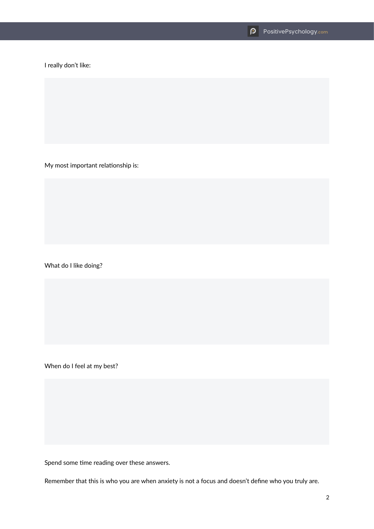I really don't like:

My most important relationship is:

What do I like doing?

When do I feel at my best?

Spend some time reading over these answers.

Remember that this is who you are when anxiety is not a focus and doesn't define who you truly are.